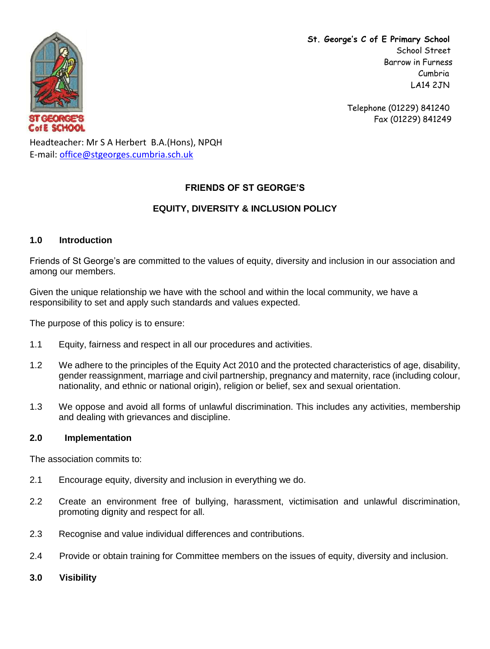

**St. George's C of E Primary School** School Street Barrow in Furness Cumbria LA14 2JN

> Telephone (01229) 841240 Fax (01229) 841249

Headteacher: Mr S A Herbert B.A.(Hons), NPQH E-mail: [office@stgeorges.cumbria.sch.uk](mailto:office@stgeorges.cumbria.sch.uk)

# **FRIENDS OF ST GEORGE'S**

# **EQUITY, DIVERSITY & INCLUSION POLICY**

## **1.0 Introduction**

Friends of St George's are committed to the values of equity, diversity and inclusion in our association and among our members.

Given the unique relationship we have with the school and within the local community, we have a responsibility to set and apply such standards and values expected.

The purpose of this policy is to ensure:

- 1.1 Equity, fairness and respect in all our procedures and activities.
- 1.2 We adhere to the principles of the Equity Act 2010 and the protected characteristics of age, disability, gender reassignment, marriage and civil partnership, pregnancy and maternity, race (including colour, nationality, and ethnic or national origin), religion or belief, sex and sexual orientation.
- 1.3 We oppose and avoid all forms of unlawful discrimination. This includes any activities, membership and dealing with grievances and discipline.

## **2.0 Implementation**

The association commits to:

- 2.1 Encourage equity, diversity and inclusion in everything we do.
- 2.2 Create an environment free of bullying, harassment, victimisation and unlawful discrimination, promoting dignity and respect for all.
- 2.3 Recognise and value individual differences and contributions.
- 2.4 Provide or obtain training for Committee members on the issues of equity, diversity and inclusion.
- **3.0 Visibility**